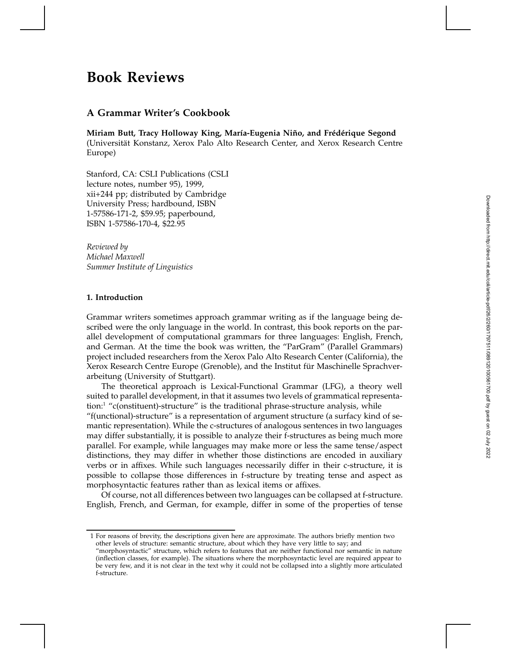# Downloaded from http://direct.mit.edu/coli/article-pdf/2/260/1797511/089120100561700.pdf by guest on 02 July 2022 Downloaded from http://direct.mit.edu/coli/article-pdf/26/2/260/1797511/089120100561700.pdf by guest on 02 July 2022

# **Book Reviews**

## **A Grammar Writer's Cookbook**

Miriam Butt, Tracy Holloway King, María-Eugenia Niño, and Frédérique Segond (Universität Konstanz, Xerox Palo Alto Research Center, and Xerox Research Centre Europe)

Stanford, CA: CSLI Publications (CSLI lecture notes, number 95), 1999, xii+244 pp; distributed by Cambridge University Press; hardbound, ISBN 1-57586-171-2, \$59.95; paperbound, ISBN 1-57586-170-4, \$22.95

*Reviewed by Michael Maxwell Summer Institute of Linguistics*

### **1. Introduction**

Grammar writers sometimes approach grammar writing as if the language being described were the only language in the world. In contrast, this book reports on the parallel development of computational grammars for three languages: English, French, and German. At the time the book was written, the "ParGram" (Parallel Grammars) project included researchers from the Xerox Palo Alto Research Center (California), the Xerox Research Centre Europe (Grenoble), and the Institut für Maschinelle Sprachverarbeitung (University of Stuttgart).

The theoretical approach is Lexical-Functional Grammar (LFG), a theory well suited to parallel development, in that it assumes two levels of grammatical representation:1 "c(onstituent)-structure" is the traditional phrase-structure analysis, while

"f(unctional)-structure" is a representation of argument structure (a surfacy kind of semantic representation). While the c-structures of analogous sentences in two languages may differ substantially, it is possible to analyze their f-structures as being much more parallel. For example, while languages may make more or less the same tense/aspect distinctions, they may differ in whether those distinctions are encoded in auxiliary verbs or in affixes. While such languages necessarily differ in their c-structure, it is possible to collapse those differences in f-structure by treating tense and aspect as morphosyntactic features rather than as lexical items or affixes.

Of course, not all differences between two languages can be collapsed at f-structure. English, French, and German, for example, differ in some of the properties of tense

1 For reasons of brevity, the descriptions given here are approximate. The authors briefly mention two other levels of structure: semantic structure, about which they have very little to say; and

<sup>&</sup>quot;morphosyntactic" structure, which refers to features that are neither functional nor semantic in nature (inflection classes, for example). The situations where the morphosyntactic level are required appear to be very few, and it is not clear in the text why it could not be collapsed into a slightly more articulated f-structure.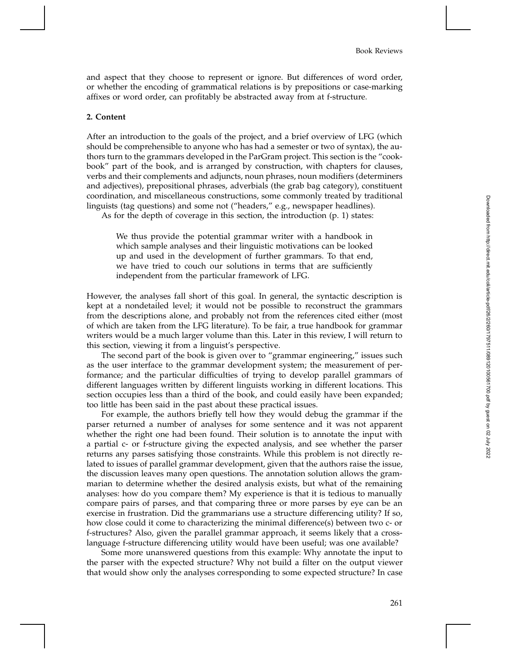and aspect that they choose to represent or ignore. But differences of word order, or whether the encoding of grammatical relations is by prepositions or case-marking affixes or word order, can profitably be abstracted away from at f-structure.

### **2. Content**

After an introduction to the goals of the project, and a brief overview of LFG (which should be comprehensible to anyone who has had a semester or two of syntax), the authors turn to the grammars developed in the ParGram project. This section is the "cookbook" part of the book, and is arranged by construction, with chapters for clauses, verbs and their complements and adjuncts, noun phrases, noun modifiers (determiners and adjectives), prepositional phrases, adverbials (the grab bag category), constituent coordination, and miscellaneous constructions, some commonly treated by traditional linguists (tag questions) and some not ("headers," e.g., newspaper headlines).

As for the depth of coverage in this section, the introduction (p. 1) states:

We thus provide the potential grammar writer with a handbook in which sample analyses and their linguistic motivations can be looked up and used in the development of further grammars. To that end, we have tried to couch our solutions in terms that are sufficiently independent from the particular framework of LFG.

However, the analyses fall short of this goal. In general, the syntactic description is kept at a nondetailed level; it would not be possible to reconstruct the grammars from the descriptions alone, and probably not from the references cited either (most of which are taken from the LFG literature). To be fair, a true handbook for grammar writers would be a much larger volume than this. Later in this review, I will return to this section, viewing it from a linguist's perspective.

The second part of the book is given over to "grammar engineering," issues such as the user interface to the grammar development system; the measurement of performance; and the particular difficulties of trying to develop parallel grammars of different languages written by different linguists working in different locations. This section occupies less than a third of the book, and could easily have been expanded; too little has been said in the past about these practical issues.

For example, the authors briefly tell how they would debug the grammar if the parser returned a number of analyses for some sentence and it was not apparent whether the right one had been found. Their solution is to annotate the input with a partial c- or f-structure giving the expected analysis, and see whether the parser returns any parses satisfying those constraints. While this problem is not directly related to issues of parallel grammar development, given that the authors raise the issue, the discussion leaves many open questions. The annotation solution allows the grammarian to determine whether the desired analysis exists, but what of the remaining analyses: how do you compare them? My experience is that it is tedious to manually compare pairs of parses, and that comparing three or more parses by eye can be an exercise in frustration. Did the grammarians use a structure differencing utility? If so, how close could it come to characterizing the minimal difference(s) between two c- or f-structures? Also, given the parallel grammar approach, it seems likely that a crosslanguage f-structure differencing utility would have been useful; was one available?

Some more unanswered questions from this example: Why annotate the input to the parser with the expected structure? Why not build a filter on the output viewer that would show only the analyses corresponding to some expected structure? In case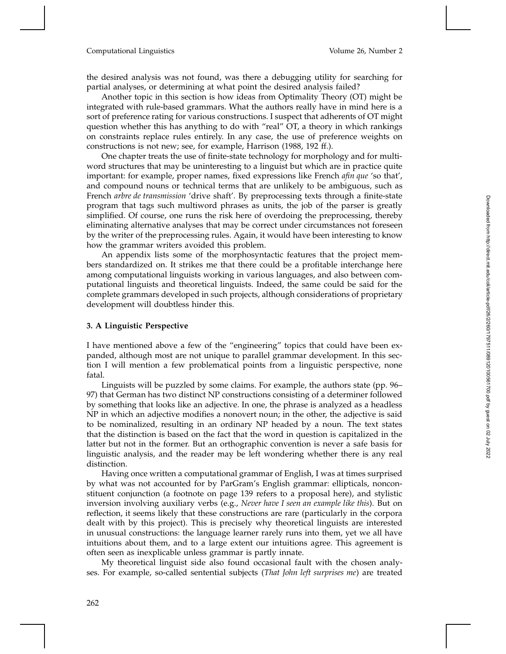### Computational Linguistics Volume 26, Number 2

the desired analysis was not found, was there a debugging utility for searching for partial analyses, or determining at what point the desired analysis failed?

Another topic in this section is how ideas from Optimality Theory (OT) might be integrated with rule-based grammars. What the authors really have in mind here is a sort of preference rating for various constructions. I suspect that adherents of OT might question whether this has anything to do with "real" OT, a theory in which rankings on constraints replace rules entirely. In any case, the use of preference weights on constructions is not new; see, for example, Harrison (1988, 192 ff.).

One chapter treats the use of finite-state technology for morphology and for multiword structures that may be uninteresting to a linguist but which are in practice quite important: for example, proper names, fixed expressions like French *afin que* 'so that', and compound nouns or technical terms that are unlikely to be ambiguous, such as French *arbre de transmission* 'drive shaft'. By preprocessing texts through a finite-state program that tags such multiword phrases as units, the job of the parser is greatly simplified. Of course, one runs the risk here of overdoing the preprocessing, thereby eliminating alternative analyses that may be correct under circumstances not foreseen by the writer of the preprocessing rules. Again, it would have been interesting to know how the grammar writers avoided this problem.

An appendix lists some of the morphosyntactic features that the project members standardized on. It strikes me that there could be a profitable interchange here among computational linguists working in various languages, and also between computational linguists and theoretical linguists. Indeed, the same could be said for the complete grammars developed in such projects, although considerations of proprietary development will doubtless hinder this.

### **3. A Linguistic Perspective**

I have mentioned above a few of the "engineering" topics that could have been expanded, although most are not unique to parallel grammar development. In this section I will mention a few problematical points from a linguistic perspective, none fatal.

Linguists will be puzzled by some claims. For example, the authors state (pp. 96– 97) that German has two distinct NP constructions consisting of a determiner followed by something that looks like an adjective. In one, the phrase is analyzed as a headless NP in which an adjective modifies a nonovert noun; in the other, the adjective is said to be nominalized, resulting in an ordinary NP headed by a noun. The text states that the distinction is based on the fact that the word in question is capitalized in the latter but not in the former. But an orthographic convention is never a safe basis for linguistic analysis, and the reader may be left wondering whether there is any real distinction.

Having once written a computational grammar of English, I was at times surprised by what was not accounted for by ParGram's English grammar: ellipticals, nonconstituent conjunction (a footnote on page 139 refers to a proposal here), and stylistic inversion involving auxiliary verbs (e.g., *Never have I seen an example like this*). But on reflection, it seems likely that these constructions are rare (particularly in the corpora dealt with by this project). This is precisely why theoretical linguists are interested in unusual constructions: the language learner rarely runs into them, yet we all have intuitions about them, and to a large extent our intuitions agree. This agreement is often seen as inexplicable unless grammar is partly innate.

My theoretical linguist side also found occasional fault with the chosen analyses. For example, so-called sentential subjects (*That John left surprises me*) are treated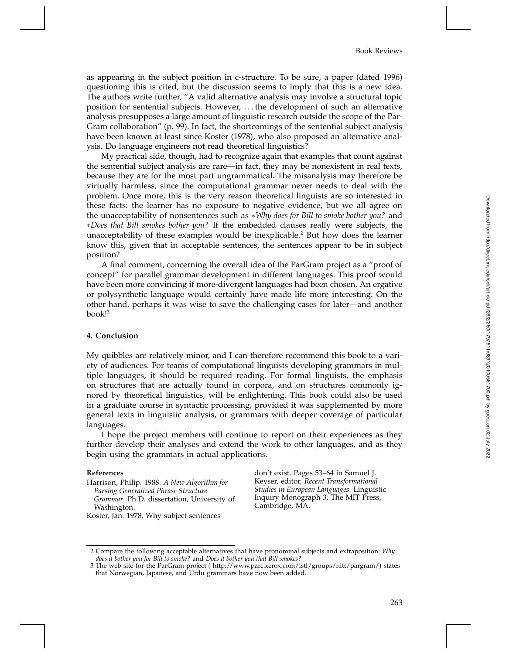as appearing in the subject position in c-structure. To be sure, a paper (dated 1996) questioning this is cited, but the discussion seems to imply that this is a new idea. The authors write further, "A valid alternative analysis may involve a structural topic position for sentential subjects. However, ::: the development of such an alternative analysis presupposes a large amount of linguistic research outside the scope of the Par-Gram collaboration" (p. 99). In fact, the shortcomings of the sentential subject analysis have been known at least since Koster (1978), who also proposed an alternative analysis. Do language engineers not read theoretical linguistics?

My practical side, though, had to recognize again that examples that count against the sentential subject analysis are rare—in fact, they may be nonexistent in real texts, because they are for the most part ungrammatical. The misanalysis may therefore be virtually harmless, since the computational grammar never needs to deal with the problem. Once more, this is the very reason theoretical linguists are so interested in these facts: the learner has no exposure to negative evidence, but we all agree on the unacceptability of nonsentences such as *Why does for Bill to smoke bother you?* and *Does that Bill smokes bother you?* If the embedded clauses really were subjects, the unacceptability of these examples would be inexplicable. <sup>2</sup> But how does the learner know this, given that in acceptable sentences, the sentences appear to be in subject position?

A final comment, concerning the overall idea of the ParGram project as a "proof of concept" for parallel grammar development in different languages: This proof would have been more convincing if more-divergent languages had been chosen. An ergative or polysynthetic language would certainly have made life more interesting. On the other hand, perhaps it was wise to save the challenging cases for later—and another book! 3

### **4. Conclusion**

My quibbles are relatively minor, and I can therefore recommend this book to a variety of audiences. For teams of computational linguists developing grammars in multiple languages, it should be required reading. For formal linguists, the emphasis on structures that are actually found in corpora, and on structures commonly ignored by theoretical linguistics, will be enlightening. This book could also be used in a graduate course in syntactic processing, provided it was supplemented by more general texts in linguistic analysis, or grammars with deeper coverage of particular languages.

I hope the project members will continue to report on their experiences as they further develop their analyses and extend the work to other languages, and as they begin using the grammars in actual applications.

### **References**

Harrison, Philip. 1988. *A New Algorithm for Parsing Generalized Phrase Structure Grammar*. Ph.D. dissertation, University of Washington. Koster, Jan. 1978. Why subject sentences

don't exist. Pages 53–64 in Samuel J. Keyser, editor, *Recent Transformational Studies in European Languages*. Linguistic Inquiry Monograph 3. The MIT Press, Cambridge, MA.

<sup>2</sup> Compare the following acceptable alternatives that have pronominal subjects and extraposition: *Why does it bother you for Bill to smoke?* and *Does it bother you that Bill smokes?*

<sup>3</sup> The web site for the ParGram project ( http://www.parc.xerox.com/istl/groups/nltt/pargram/) states that Norwegian, Japanese, and Urdu grammars have now been added.